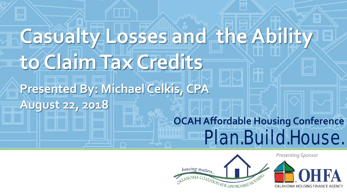# **OCAH Affordable Housing Conference** Plan.Build.House. **Casualty Losses and the Ability to Claim Tax Credits Presented By: Michael Celkis, CPA August 22, 2018**



*Presenting Sponsor*

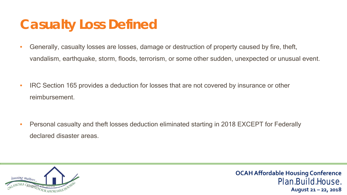### **Casualty Loss Defined**

- Generally, casualty losses are losses, damage or destruction of property caused by fire, theft, vandalism, earthquake, storm, floods, terrorism, or some other sudden, unexpected or unusual event.
- IRC Section 165 provides a deduction for losses that are not covered by insurance or other reimbursement.
- Personal casualty and theft losses deduction eliminated starting in 2018 EXCEPT for Federally declared disaster areas.

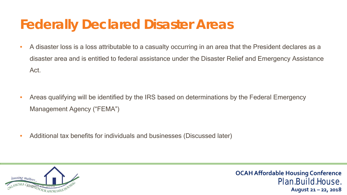### **Federally Declared Disaster Areas**

- A disaster loss is a loss attributable to a casualty occurring in an area that the President declares as a disaster area and is entitled to federal assistance under the Disaster Relief and Emergency Assistance Act.
- Areas qualifying will be identified by the IRS based on determinations by the Federal Emergency Management Agency ("FEMA")
- Additional tax benefits for individuals and businesses (Discussed later)

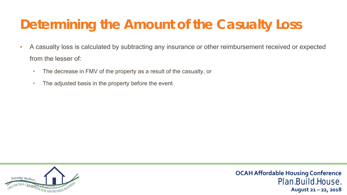# **Determining the Amount of the Casualty Loss**

- A casualty loss is calculated by subtracting any insurance or other reimbursement received or expected from the lesser of:
	- The decrease in FMV of the property as a result of the casualty, or
	- The adjusted basis in the property before the event

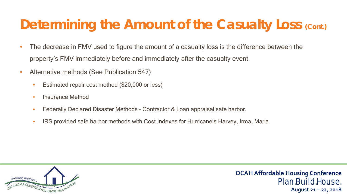## **Determining the Amount of the Casualty Loss (Cont.)**

- The decrease in FMV used to figure the amount of a casualty loss is the difference between the property's FMV immediately before and immediately after the casualty event.
- Alternative methods (See Publication 547)
	- Estimated repair cost method (\$20,000 or less)
	- Insurance Method
	- Federally Declared Disaster Methods Contractor & Loan appraisal safe harbor.
	- IRS provided safe harbor methods with Cost Indexes for Hurricane's Harvey, Irma, Maria.

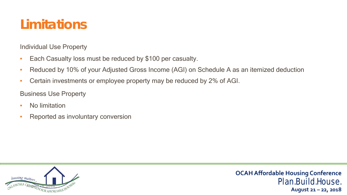## **Limitations**

Individual Use Property

- Each Casualty loss must be reduced by \$100 per casualty.
- Reduced by 10% of your Adjusted Gross Income (AGI) on Schedule A as an itemized deduction
- Certain investments or employee property may be reduced by 2% of AGI.

Business Use Property

- No limitation
- Reported as involuntary conversion

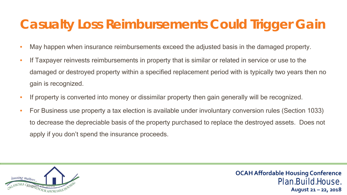### **Casualty Loss Reimbursements Could Trigger Gain**

- May happen when insurance reimbursements exceed the adjusted basis in the damaged property.
- If Taxpayer reinvests reimbursements in property that is similar or related in service or use to the damaged or destroyed property within a specified replacement period with is typically two years then no gain is recognized.
- If property is converted into money or dissimilar property then gain generally will be recognized.
- For Business use property a tax election is available under involuntary conversion rules (Section 1033) to decrease the depreciable basis of the property purchased to replace the destroyed assets. Does not apply if you don't spend the insurance proceeds.

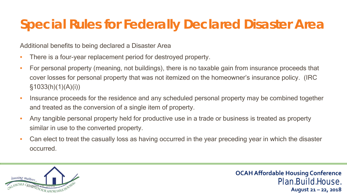### **Special Rules for Federally Declared Disaster Area**

Additional benefits to being declared a Disaster Area

- There is a four-year replacement period for destroyed property.
- For personal property (meaning, not buildings), there is no taxable gain from insurance proceeds that cover losses for personal property that was not itemized on the homeowner's insurance policy. (IRC  $§1033(h)(1)(A)(i))$
- Insurance proceeds for the residence and any scheduled personal property may be combined together and treated as the conversion of a single item of property.
- Any tangible personal property held for productive use in a trade or business is treated as property similar in use to the converted property.
- Can elect to treat the casually loss as having occurred in the year preceding year in which the disaster occurred.

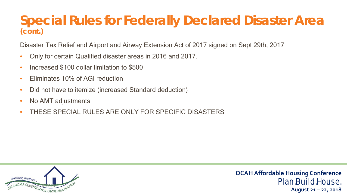#### **Special Rules for Federally Declared Disaster Area (cont.)**

Disaster Tax Relief and Airport and Airway Extension Act of 2017 signed on Sept 29th, 2017

- Only for certain Qualified disaster areas in 2016 and 2017.
- Increased \$100 dollar limitation to \$500
- Fliminates 10% of AGI reduction
- Did not have to itemize (increased Standard deduction)
- No AMT adjustments
- THESE SPECIAL RULES ARE ONLY FOR SPECIFIC DISASTERS

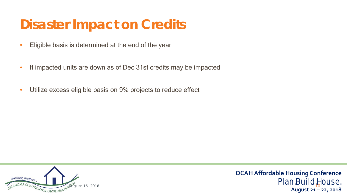## **Disaster Impact on Credits**

- Eligible basis is determined at the end of the year
- If impacted units are down as of Dec 31st credits may be impacted
- Utilize excess eligible basis on 9% projects to reduce effect

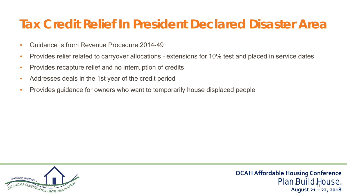### **Tax Credit Relief In President Declared Disaster Area**

- Guidance is from Revenue Procedure 2014-49
- Provides relief related to carryover allocations extensions for 10% test and placed in service dates
- Provides recapture relief and no interruption of credits
- Addresses deals in the 1st year of the credit period
- Provides guidance for owners who want to temporarily house displaced people

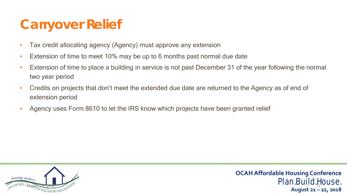## **Carryover Relief**

- Tax credit allocating agency (Agency) must approve any extension
- Extension of time to meet 10% may be up to 6 months past normal due date
- Extension of time to place a building in service is not past December 31 of the year following the normal two year period
- Credits on projects that don't meet the extended due date are returned to the Agency as of end of extension period
- Agency uses Form 8610 to let the IRS know which projects have been granted relief

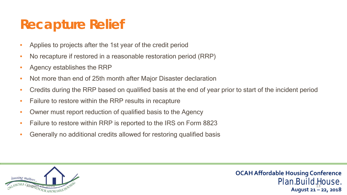### **Recapture Relief**

- Applies to projects after the 1st year of the credit period
- No recapture if restored in a reasonable restoration period (RRP)
- Agency establishes the RRP
- Not more than end of 25th month after Major Disaster declaration
- Credits during the RRP based on qualified basis at the end of year prior to start of the incident period
- Failure to restore within the RRP results in recapture
- Owner must report reduction of qualified basis to the Agency
- Failure to restore within RRP is reported to the IRS on Form 8823
- Generally no additional credits allowed for restoring qualified basis

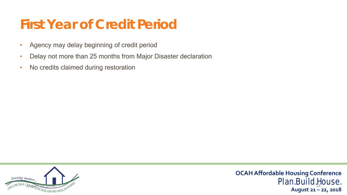### **First Year of Credit Period**

- Agency may delay beginning of credit period
- Delay not more than 25 months from Major Disaster declaration
- No credits claimed during restoration